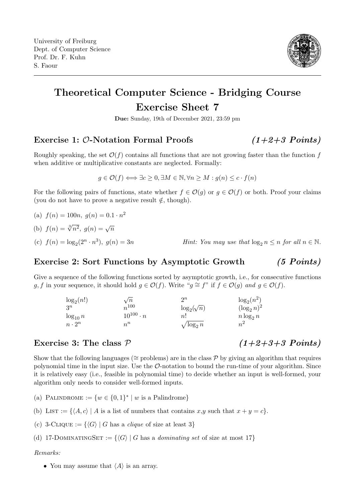

# Theoretical Computer Science - Bridging Course Exercise Sheet 7

Due: Sunday, 19th of December 2021, 23:59 pm

## Exercise 1:  $\mathcal{O}\text{-Notation Formal Proofs}$  (1+2+3 Points)

Roughly speaking, the set  $\mathcal{O}(f)$  contains all functions that are not growing faster than the function f when additive or multiplicative constants are neglected. Formally:

$$
g \in \mathcal{O}(f) \Longleftrightarrow \exists c \geq 0, \exists M \in \mathbb{N}, \forall n \geq M : g(n) \leq c \cdot f(n)
$$

For the following pairs of functions, state whether  $f \in \mathcal{O}(g)$  or  $g \in \mathcal{O}(f)$  or both. Proof your claims (you do not have to prove a negative result  $\notin$ , though).

(a)  $f(n) = 100n, g(n) = 0.1 \cdot n^2$ 

(b) 
$$
f(n) = \sqrt[3]{n^2}
$$
,  $g(n) = \sqrt{n}$ 

(c)  $f(n) = \log_2(2^n \cdot n^3)$ 

### Exercise 2: Sort Functions by Asymptotic Growth (5 Points)

Give a sequence of the following functions sorted by asymptotic growth, i.e., for consecutive functions g, f in your sequence, it should hold  $g \in \mathcal{O}(f)$ . Write " $g \cong f$ " if  $f \in \mathcal{O}(g)$  and  $g \in \mathcal{O}(f)$ .

| $\log_2(n!)$  | $\sqrt{n}$         | $\mathfrak{D}^n$   | $\log_2(n^2)$  |
|---------------|--------------------|--------------------|----------------|
| $3^n$         | $n^{100}$          | $\log_2(\sqrt{n})$ | $(\log_2 n)^2$ |
| $\log_{10} n$ | $10^{100} \cdot n$ | n!                 | $n \log_2 n$   |
| $n \cdot 2^n$ | $n^n$              | $\sqrt{\log_2 n}$  | $n^2$          |

### Exercise 3: The class  $P$  (1+2+3+3 Points)

Show that the following languages ( $\cong$  problems) are in the class P by giving an algorithm that requires polynomial time in the input size. Use the  $\mathcal{O}\text{-}$  notation to bound the run-time of your algorithm. Since it is relatively easy (i.e., feasible in polynomial time) to decide whether an input is well-formed, your algorithm only needs to consider well-formed inputs.

- (a) PALINDROME :=  $\{w \in \{0,1\}^* \mid w \text{ is a Palindrome}\}\$
- (b) LIST := { $\langle A, c \rangle$  | A is a list of numbers that contains x,y such that  $x + y = c$ }.
- (c) 3-CLIQUE :=  $\{\langle G \rangle | G$  has a *clique* of size at least 3}
- (d) 17-DOMINATINGSET :=  $\{\langle G \rangle | G$  has a *dominating set* of size at most 17}

#### Remarks:

• You may assume that  $\langle A \rangle$  is an array.

*Hint:* You may use that  $\log_2 n \leq n$  for all  $n \in \mathbb{N}$ .